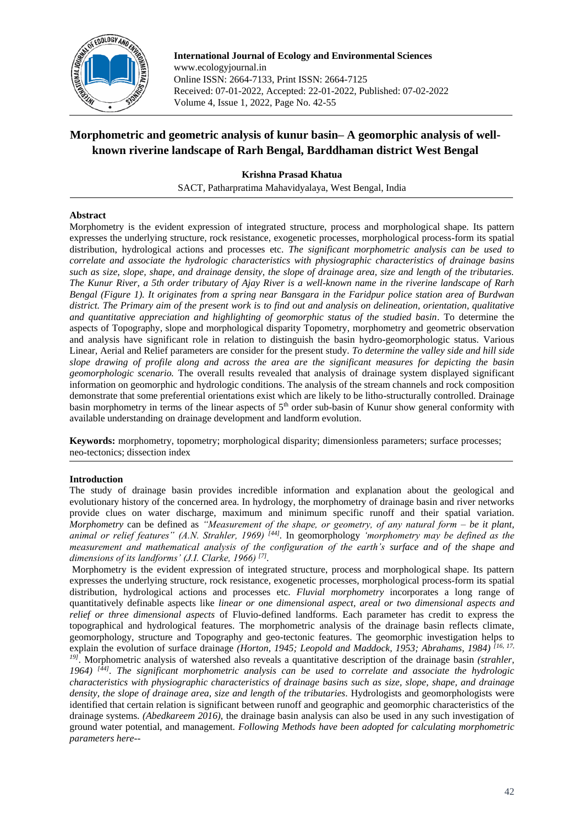

**International Journal of Ecology and Environmental Sciences** www.ecologyjournal.in Online ISSN: 2664-7133, Print ISSN: 2664-7125 Received: 07-01-2022, Accepted: 22-01-2022, Published: 07-02-2022 Volume 4, Issue 1, 2022, Page No. 42-55

# **Morphometric and geometric analysis of kunur basin– A geomorphic analysis of wellknown riverine landscape of Rarh Bengal, Barddhaman district West Bengal**

**Krishna Prasad Khatua**

SACT, Patharpratima Mahavidyalaya, West Bengal, India

# **Abstract**

Morphometry is the evident expression of integrated structure, process and morphological shape. Its pattern expresses the underlying structure, rock resistance, exogenetic processes, morphological process-form its spatial distribution, hydrological actions and processes etc. *The significant morphometric analysis can be used to correlate and associate the hydrologic characteristics with physiographic characteristics of drainage basins such as size, slope, shape, and drainage density, the slope of drainage area, size and length of the tributaries. The Kunur River, a 5th order tributary of Ajay River is a well-known name in the riverine landscape of Rarh Bengal (Figure 1). It originates from a spring near Bansgara in the Faridpur police station area of Burdwan district. The Primary aim of the present work is to find out and analysis on delineation, orientation, qualitative and quantitative appreciation and highlighting of geomorphic status of the studied basin*. To determine the aspects of Topography, slope and morphological disparity Topometry, morphometry and geometric observation and analysis have significant role in relation to distinguish the basin hydro-geomorphologic status. Various Linear, Aerial and Relief parameters are consider for the present study. *To determine the valley side and hill side slope drawing of profile along and across the area are the significant measures for depicting the basin geomorphologic scenario.* The overall results revealed that analysis of drainage system displayed significant information on geomorphic and hydrologic conditions. The analysis of the stream channels and rock composition demonstrate that some preferential orientations exist which are likely to be litho-structurally controlled. Drainage basin morphometry in terms of the linear aspects of  $5<sup>th</sup>$  order sub-basin of Kunur show general conformity with available understanding on drainage development and landform evolution.

**Keywords:** morphometry, topometry; morphological disparity; dimensionless parameters; surface processes; neo-tectonics; dissection index

# **Introduction**

The study of drainage basin provides incredible information and explanation about the geological and evolutionary history of the concerned area. In hydrology, the morphometry of drainage basin and river networks provide clues on water discharge, maximum and minimum specific runoff and their spatial variation. *Morphometry* can be defined as *"Measurement of the shape, or geometry, of any natural form – be it plant, animal or relief features" (A.N. Strahler, 1969) [44] .* In geomorphology *'morphometry may be defined as the measurement and mathematical analysis of the configuration of the earth's surface and of the shape and dimensions of its landforms' (J.I. Clarke, 1966) [7] .*

Morphometry is the evident expression of integrated structure, process and morphological shape. Its pattern expresses the underlying structure, rock resistance, exogenetic processes, morphological process-form its spatial distribution, hydrological actions and processes etc. *Fluvial morphometry* incorporates a long range of quantitatively definable aspects like *linear or one dimensional aspect, areal or two dimensional aspects and relief or three dimensional aspects* of Fluvio-defined landforms. Each parameter has credit to express the topographical and hydrological features. The morphometric analysis of the drainage basin reflects climate, geomorphology, structure and Topography and geo-tectonic features. The geomorphic investigation helps to explain the evolution of surface drainage *(Horton, 1945; Leopold and Maddock, 1953; Abrahams, 1984)*<sup>[16, 17,</sup> <sup>19]</sup>. Morphometric analysis of watershed also reveals a quantitative description of the drainage basin *(strahler, 1964) [44] . The significant morphometric analysis can be used to correlate and associate the hydrologic characteristics with physiographic characteristics of drainage basins such as size, slope, shape, and drainage density, the slope of drainage area, size and length of the tributaries*. Hydrologists and geomorphologists were identified that certain relation is significant between runoff and geographic and geomorphic characteristics of the drainage systems. *(Abedkareem 2016),* the drainage basin analysis can also be used in any such investigation of ground water potential, and management. *Following Methods have been adopted for calculating morphometric parameters here--*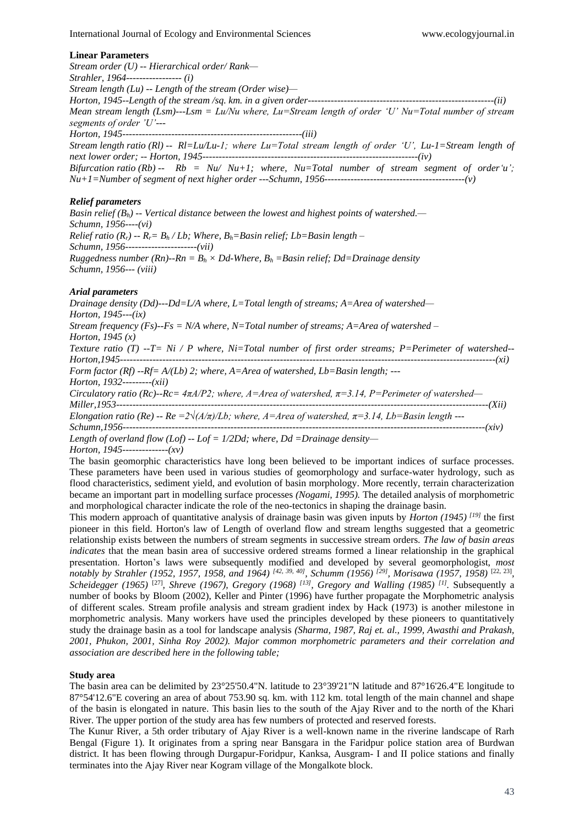#### **Linear Parameters**

*Stream order (U) -- Hierarchical order/ Rank— Strahler, 1964----------------- (i) Stream length (Lu) -- Length of the stream (Order wise)— Horton, 1945--Length of the stream /sq. km. in a given order---------------------------------------------------------(ii) Mean stream length (Lsm)---Lsm = Lu/Nu where, Lu=Stream length of order 'U' Nu=Total number of stream segments of order 'U'--- Horton, 1945-------------------------------------------------------(iii) Stream length ratio (Rl) -- Rl=Lu/Lu-1; where Lu=Total stream length of order 'U', Lu-1=Stream length of next lower order; -- Horton, 1945------------------------------------------------------------------(iv) Bifurcation ratio (Rb)* -- *Rb* =  $Nu/$   $Nu+1$ ; where,  $Nu=Total$  number of stream segment of order'u'; *Nu+1=Number of segment of next higher order ---Schumn, 1956-------------------------------------------(v)*

### *Relief parameters*

*Basin relief (Bh) -- Vertical distance between the lowest and highest points of watershed.— Schumn, 1956----(vi) Relief ratio*  $(R_r) - R_r = B_h / Lb$ ; Where,  $B_h =$ Basin relief; Lb=Basin length – *Schumn, 1956----------------------(vii) Ruggedness number* (*Rn*)--*Rn* =  $B_h \times Dd$ -Where,  $B_h$  = Basin relief; Dd=Drainage density *Schumn, 1956--- (viii)*

#### *Arial parameters*

*Drainage density (Dd)---Dd=L/A where, L=Total length of streams; A=Area of watershed— Horton, 1945---(ix) Stream frequency (Fs)--Fs = N/A where, N=Total number of streams; A=Area of watershed – Horton, 1945 (x) Texture ratio (T) --T= Ni / P where, Ni=Total number of first order streams; P=Perimeter of watershed-- Horton,1945-------------------------------------------------------------------------------------------------------------------(xi) Form factor (Rf) --Rf= A/(Lb) 2; where, A=Area of watershed, Lb=Basin length; ---*

*Horton, 1932---------(xii)*

*Circulatory ratio (Rc)--Rc= 4πA/P2; where, A=Area of watershed, π=3.14, P=Perimeter of watershed— Miller,1953------------------------------------------------------------------------------------------------------------------(Xii)*

*Elongation ratio (Re) -- Re*  $=2\sqrt{(A/\pi)/L}$ *b; where, A=Area of watershed,*  $\pi$ *=3.14, Lb=Basin length ---*

*Schumn,1956---------------------------------------------------------------------------------------------------------------(xiv)*

*Length of overland flow (Lof) -- Lof = 1/2Dd; where, Dd =Drainage density—*

*Horton, 1945--------------(xv)*

The basin geomorphic characteristics have long been believed to be important indices of surface processes. These parameters have been used in various studies of geomorphology and surface-water hydrology, such as flood characteristics, sediment yield, and evolution of basin morphology. More recently, terrain characterization became an important part in modelling surface processes *(Nogami, 1995).* The detailed analysis of morphometric and morphological character indicate the role of the neo-tectonics in shaping the drainage basin.

This modern approach of quantitative analysis of drainage basin was given inputs by *Horton (1945) [19]* the first pioneer in this field. Horton's law of Length of overland flow and stream lengths suggested that a geometric relationship exists between the numbers of stream segments in successive stream orders. *The law of basin areas indicates* that the mean basin area of successive ordered streams formed a linear relationship in the graphical presentation. Horton's laws were subsequently modified and developed by several geomorphologist, *most notably by Strahler (1952, 1957, 1958, and 1964) [42, 39, 40], Schumm (1956) [29], Morisawa (1957, 1958)* [22, 23] *, Scheidegger (1965)* [27]*, Shreve (1967), Gregory (1968) [13], Gregory and Walling (1985) [1] .* Subsequently a number of books by Bloom (2002), Keller and Pinter (1996) have further propagate the Morphometric analysis of different scales. Stream profile analysis and stream gradient index by Hack (1973) is another milestone in morphometric analysis. Many workers have used the principles developed by these pioneers to quantitatively study the drainage basin as a tool for landscape analysis *(Sharma, 1987, Raj et. al., 1999, Awasthi and Prakash, 2001, Phukon, 2001, Sinha Roy 2002). Major common morphometric parameters and their correlation and association are described here in the following table;*

#### **Study area**

The basin area can be delimited by 23°25'50.4"N. latitude to 23°39'21"N latitude and 87°16'26.4"E longitude to 87°54'12.6"E covering an area of about 753.90 sq. km. with 112 km. total length of the main channel and shape of the basin is elongated in nature. This basin lies to the south of the Ajay River and to the north of the Khari River. The upper portion of the study area has few numbers of protected and reserved forests.

The Kunur River, a 5th order tributary of Ajay River is a well-known name in the riverine landscape of Rarh Bengal (Figure 1). It originates from a spring near Bansgara in the Faridpur police station area of Burdwan district. It has been flowing through Durgapur-Foridpur, Kanksa, Ausgram- I and II police stations and finally terminates into the Ajay River near Kogram village of the Mongalkote block.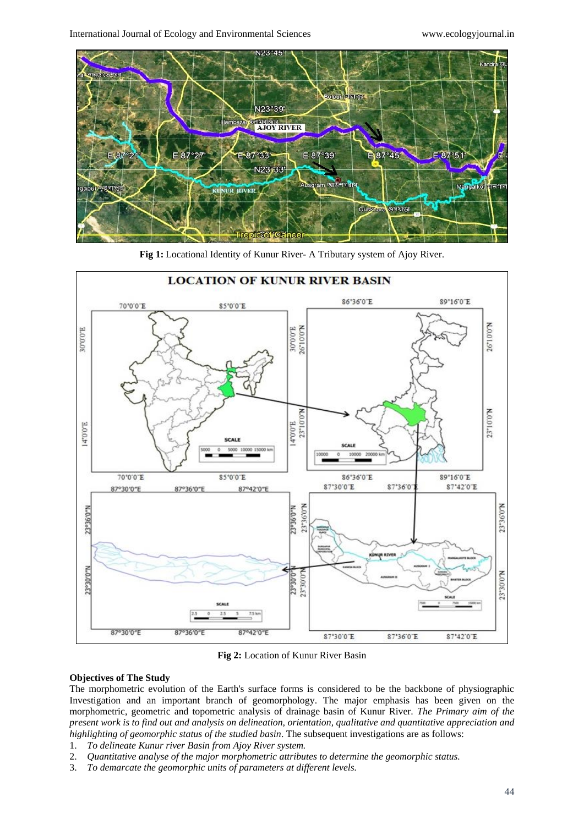

**Fig 1:** Locational Identity of Kunur River- A Tributary system of Ajoy River.



**Fig 2:** Location of Kunur River Basin

## **Objectives of The Study**

The morphometric evolution of the Earth's surface forms is considered to be the backbone of physiographic Investigation and an important branch of geomorphology. The major emphasis has been given on the morphometric, geometric and topometric analysis of drainage basin of Kunur River. *The Primary aim of the present work is to find out and analysis on delineation, orientation, qualitative and quantitative appreciation and highlighting of geomorphic status of the studied basin*. The subsequent investigations are as follows:

- 1. *To delineate Kunur river Basin from Ajoy River system.*
- 2. *Quantitative analyse of the major morphometric attributes to determine the geomorphic status.*
- 3. *To demarcate the geomorphic units of parameters at different levels.*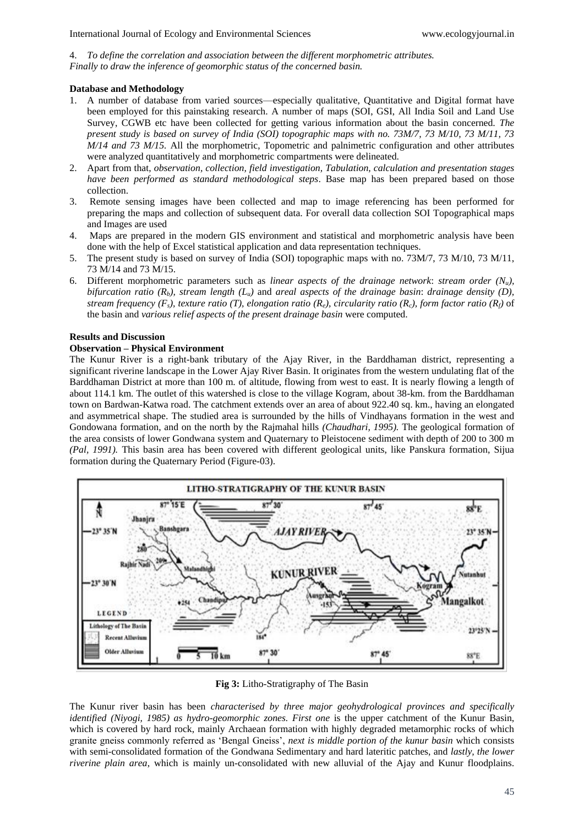4. *To define the correlation and association between the different morphometric attributes. Finally to draw the inference of geomorphic status of the concerned basin.*

## **Database and Methodology**

- 1. A number of database from varied sources—especially qualitative, Quantitative and Digital format have been employed for this painstaking research. A number of maps (SOI, GSI, All India Soil and Land Use Survey, CGWB etc have been collected for getting various information about the basin concerned. *The present study is based on survey of India (SOI) topographic maps with no. 73M/7, 73 M/10, 73 M/11, 73 M/14 and 73 M/15.* All the morphometric, Topometric and palnimetric configuration and other attributes were analyzed quantitatively and morphometric compartments were delineated.
- 2. Apart from that, *observation, collection, field investigation, Tabulation, calculation and presentation stages have been performed as standard methodological steps*. Base map has been prepared based on those collection.
- 3. Remote sensing images have been collected and map to image referencing has been performed for preparing the maps and collection of subsequent data. For overall data collection SOI Topographical maps and Images are used
- 4. Maps are prepared in the modern GIS environment and statistical and morphometric analysis have been done with the help of Excel statistical application and data representation techniques.
- 5. The present study is based on survey of India (SOI) topographic maps with no. 73M/7, 73 M/10, 73 M/11, 73 M/14 and 73 M/15.
- 6. Different morphometric parameters such as *linear aspects of the drainage network*: *stream order (Nu), bifurcation ratio (Rb), stream length (Lu)* and *areal aspects of the drainage basin*: *drainage density (D), stream frequency (Fs), texture ratio (T), elongation ratio (Re), circularity ratio (Rc), form factor ratio (Rf)* of the basin and *various relief aspects of the present drainage basin* were computed.

## **Results and Discussion**

# **Observation – Physical Environment**

The Kunur River is a right-bank tributary of the Ajay River, in the Barddhaman district, representing a significant riverine landscape in the Lower Ajay River Basin. It originates from the western undulating flat of the Barddhaman District at more than 100 m. of altitude, flowing from west to east. It is nearly flowing a length of about 114.1 km. The outlet of this watershed is close to the village Kogram, about 38-km. from the Barddhaman town on Bardwan-Katwa road. The catchment extends over an area of about 922.40 sq. km., having an elongated and asymmetrical shape. The studied area is surrounded by the hills of Vindhayans formation in the west and Gondowana formation, and on the north by the Rajmahal hills *(Chaudhari, 1995).* The geological formation of the area consists of lower Gondwana system and Quaternary to Pleistocene sediment with depth of 200 to 300 m *(Pal, 1991).* This basin area has been covered with different geological units, like Panskura formation, Sijua formation during the Quaternary Period (Figure-03).



**Fig 3:** Litho-Stratigraphy of The Basin

The Kunur river basin has been *characterised by three major geohydrological provinces and specifically identified (Niyogi, 1985) as hydro-geomorphic zones. First one* is the upper catchment of the Kunur Basin, which is covered by hard rock, mainly Archaean formation with highly degraded metamorphic rocks of which granite gneiss commonly referred as 'Bengal Gneiss', *next is middle portion of the kunur basin* which consists with semi-consolidated formation of the Gondwana Sedimentary and hard lateritic patches, and *lastly, the lower riverine plain area*, which is mainly un-consolidated with new alluvial of the Ajay and Kunur floodplains.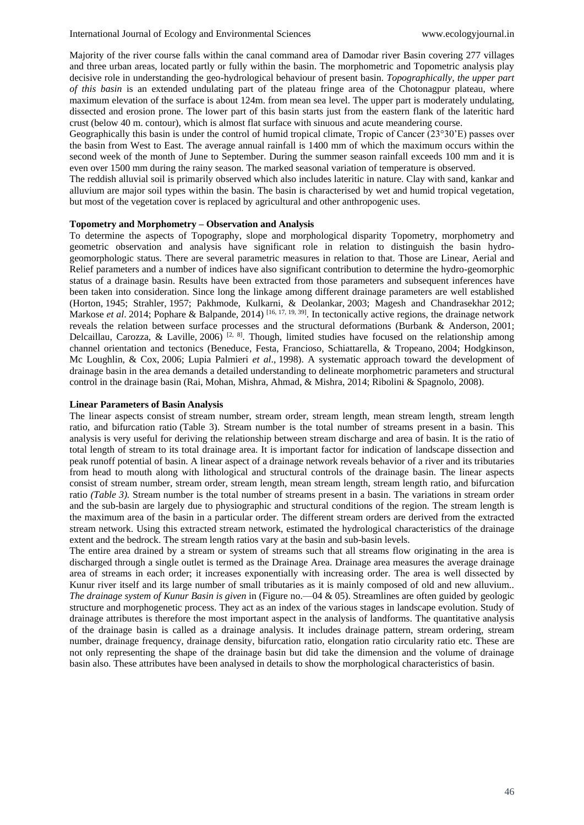Majority of the river course falls within the canal command area of Damodar river Basin covering 277 villages and three urban areas, located partly or fully within the basin. The morphometric and Topometric analysis play decisive role in understanding the geo-hydrological behaviour of present basin. *Topographically, the upper part of this basin* is an extended undulating part of the plateau fringe area of the Chotonagpur plateau, where maximum elevation of the surface is about 124m. from mean sea level. The upper part is moderately undulating, dissected and erosion prone. The lower part of this basin starts just from the eastern flank of the lateritic hard crust (below 40 m. contour), which is almost flat surface with sinuous and acute meandering course.

Geographically this basin is under the control of humid tropical climate, Tropic of Cancer (23°30'E) passes over the basin from West to East. The average annual rainfall is 1400 mm of which the maximum occurs within the second week of the month of June to September. During the summer season rainfall exceeds 100 mm and it is even over 1500 mm during the rainy season. The marked seasonal variation of temperature is observed.

The reddish alluvial soil is primarily observed which also includes lateritic in nature. Clay with sand, kankar and alluvium are major soil types within the basin. The basin is characterised by wet and humid tropical vegetation, but most of the vegetation cover is replaced by agricultural and other anthropogenic uses.

#### **Topometry and Morphometry – Observation and Analysis**

To determine the aspects of Topography, slope and morphological disparity Topometry, morphometry and geometric observation and analysis have significant role in relation to distinguish the basin hydrogeomorphologic status. There are several parametric measures in relation to that. Those are Linear, Aerial and Relief parameters and a number of indices have also significant contribution to determine the hydro-geomorphic status of a drainage basin. Results have been extracted from those parameters and subsequent inferences have been taken into consideration. Since long the linkage among different drainage parameters are well established (Horton, 1945; Strahler, 1957; Pakhmode, Kulkarni, & Deolankar, 2003; Magesh and Chandrasekhar 2012; Markose *et al.* 2014; Pophare & Balpande, 2014)<sup>[16, 17, 19, 39]. In tectonically active regions, the drainage network</sup> reveals the relation between surface processes and the structural deformations (Burbank & Anderson, 2001; Delcaillau, Carozza, & Laville, 2006)<sup>[2, 8]</sup>. Though, limited studies have focused on the relationship among channel orientation and tectonics (Beneduce, Festa, Francioso, Schiattarella, & Tropeano, 2004; Hodgkinson, Mc Loughlin, & Cox, 2006; Lupia Palmieri *et al*., 1998). A systematic approach toward the development of drainage basin in the area demands a detailed understanding to delineate morphometric parameters and structural control in the drainage basin (Rai, Mohan, Mishra, Ahmad, & Mishra, 2014; Ribolini & Spagnolo, 2008).

#### **Linear Parameters of Basin Analysis**

The linear aspects consist of stream number, stream order, stream length, mean stream length, stream length ratio, and bifurcation ratio (Table 3). Stream number is the total number of streams present in a basin. This analysis is very useful for deriving the relationship between stream discharge and area of basin. It is the ratio of total length of stream to its total drainage area. It is important factor for indication of landscape dissection and peak runoff potential of basin. A linear aspect of a drainage network reveals behavior of a river and its tributaries from head to mouth along with lithological and structural controls of the drainage basin. The linear aspects consist of stream number, stream order, stream length, mean stream length, stream length ratio, and bifurcation ratio *(Table 3).* Stream number is the total number of streams present in a basin. The variations in stream order and the sub-basin are largely due to physiographic and structural conditions of the region. The stream length is the maximum area of the basin in a particular order. The different stream orders are derived from the extracted stream network. Using this extracted stream network, estimated the hydrological characteristics of the drainage extent and the bedrock. The stream length ratios vary at the basin and sub-basin levels.

The entire area drained by a stream or system of streams such that all streams flow originating in the area is discharged through a single outlet is termed as the Drainage Area. Drainage area measures the average drainage area of streams in each order; it increases exponentially with increasing order. The area is well dissected by Kunur river itself and its large number of small tributaries as it is mainly composed of old and new alluvium.. *The drainage system of Kunur Basin is given* in (Figure no.—04 & 05). Streamlines are often guided by geologic structure and morphogenetic process. They act as an index of the various stages in landscape evolution. Study of drainage attributes is therefore the most important aspect in the analysis of landforms. The quantitative analysis of the drainage basin is called as a drainage analysis. It includes drainage pattern, stream ordering, stream number, drainage frequency, drainage density, bifurcation ratio, elongation ratio circularity ratio etc. These are not only representing the shape of the drainage basin but did take the dimension and the volume of drainage basin also. These attributes have been analysed in details to show the morphological characteristics of basin.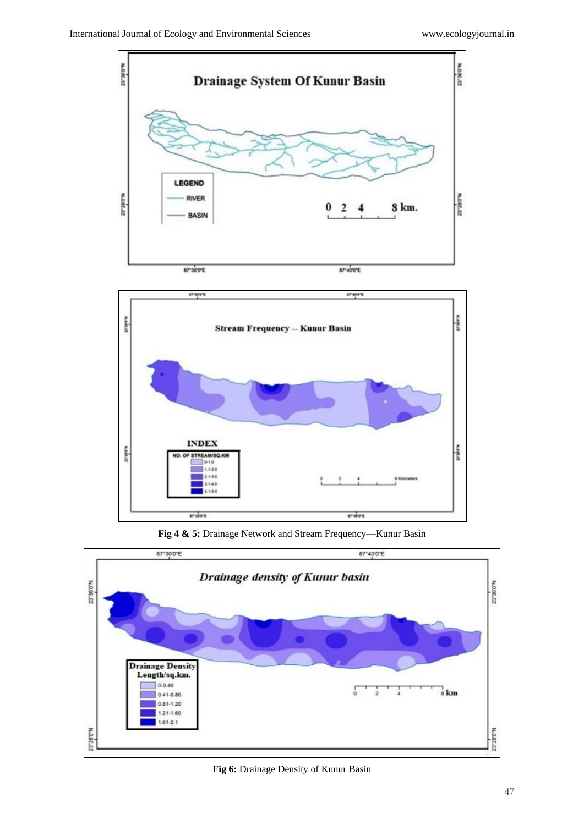



**Fig 4 & 5:** Drainage Network and Stream Frequency—Kunur Basin



**Fig 6:** Drainage Density of Kunur Basin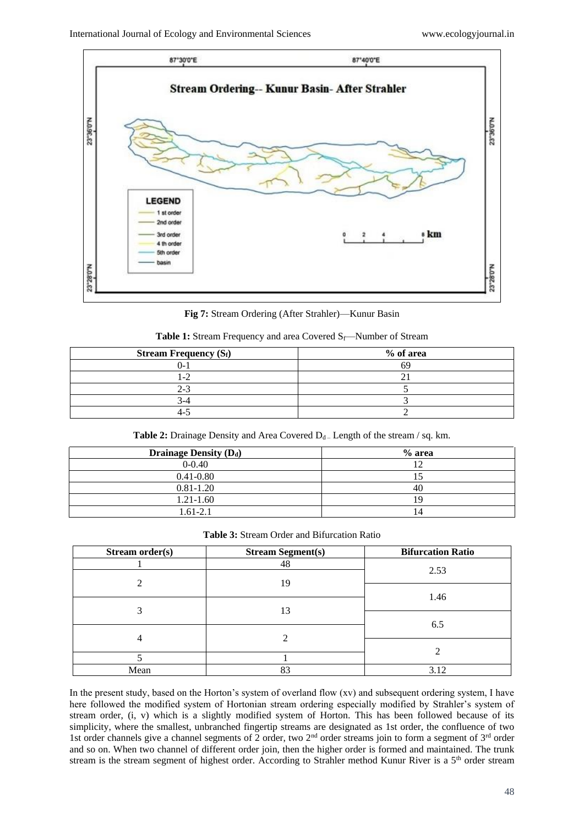

**Fig 7:** Stream Ordering (After Strahler)—Kunur Basin

|  |  |  |  | <b>Table 1:</b> Stream Frequency and area Covered $S_f$ —Number of Stream |
|--|--|--|--|---------------------------------------------------------------------------|
|  |  |  |  |                                                                           |

| <b>Stream Frequency <math>(S_f)</math></b> | % of area |
|--------------------------------------------|-----------|
|                                            |           |
|                                            |           |
| $2-$                                       |           |
|                                            |           |
|                                            |           |

**Table 2:** Drainage Density and Area Covered  $D_d$  – Length of the stream / sq. km.

| <b>Drainage Density (Dd)</b> | $%$ area |
|------------------------------|----------|
| $0 - 0.40$                   |          |
| $0.41 - 0.80$                |          |
| $0.81 - 1.20$                | 40       |
| $1.21 - 1.60$                | 1 G      |
| 1.61-2.1                     | 14       |

**Table 3:** Stream Order and Bifurcation Ratio

| Stream order(s) | <b>Stream Segment(s)</b> | <b>Bifurcation Ratio</b> |  |
|-----------------|--------------------------|--------------------------|--|
|                 | 48                       | 2.53                     |  |
| ◠               | 19                       |                          |  |
|                 |                          | 1.46                     |  |
|                 |                          |                          |  |
|                 | 13                       |                          |  |
|                 |                          | 6.5                      |  |
| 4               |                          |                          |  |
|                 |                          |                          |  |
| Mean            | 83                       | 3.12                     |  |

In the present study, based on the Horton's system of overland flow (xv) and subsequent ordering system, I have here followed the modified system of Hortonian stream ordering especially modified by Strahler's system of stream order, (i, v) which is a slightly modified system of Horton. This has been followed because of its simplicity, where the smallest, unbranched fingertip streams are designated as 1st order, the confluence of two 1st order channels give a channel segments of 2 order, two  $2<sup>nd</sup>$  order streams join to form a segment of  $3<sup>rd</sup>$  order and so on. When two channel of different order join, then the higher order is formed and maintained. The trunk stream is the stream segment of highest order. According to Strahler method Kunur River is a 5<sup>th</sup> order stream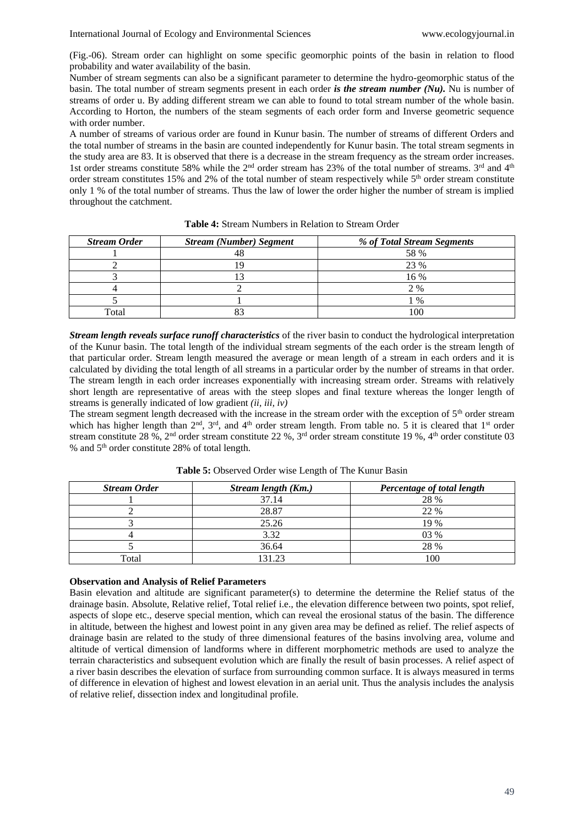(Fig.-06). Stream order can highlight on some specific geomorphic points of the basin in relation to flood probability and water availability of the basin.

Number of stream segments can also be a significant parameter to determine the hydro-geomorphic status of the basin. The total number of stream segments present in each order *is the stream number (Nu).* Nu is number of streams of order u. By adding different stream we can able to found to total stream number of the whole basin. According to Horton, the numbers of the steam segments of each order form and Inverse geometric sequence with order number.

A number of streams of various order are found in Kunur basin. The number of streams of different Orders and the total number of streams in the basin are counted independently for Kunur basin. The total stream segments in the study area are 83. It is observed that there is a decrease in the stream frequency as the stream order increases. 1st order streams constitute 58% while the 2<sup>nd</sup> order stream has 23% of the total number of streams. 3<sup>rd</sup> and 4<sup>th</sup> order stream constitutes 15% and 2% of the total number of steam respectively while 5th order stream constitute only 1 % of the total number of streams. Thus the law of lower the order higher the number of stream is implied throughout the catchment.

| <b>Stream Order</b> | <b>Stream (Number) Segment</b> | % of Total Stream Segments |
|---------------------|--------------------------------|----------------------------|
|                     | 48                             | 58 %                       |
|                     |                                | 23 %                       |
|                     |                                | 16 %                       |
|                     |                                | 2 %                        |
|                     |                                | $\frac{0}{0}$              |
| Total               |                                | 100                        |

**Table 4:** Stream Numbers in Relation to Stream Order

*Stream length reveals surface runoff characteristics* of the river basin to conduct the hydrological interpretation of the Kunur basin. The total length of the individual stream segments of the each order is the stream length of that particular order. Stream length measured the average or mean length of a stream in each orders and it is calculated by dividing the total length of all streams in a particular order by the number of streams in that order. The stream length in each order increases exponentially with increasing stream order. Streams with relatively short length are representative of areas with the steep slopes and final texture whereas the longer length of streams is generally indicated of low gradient *(ii, iii, iv)*

The stream segment length decreased with the increase in the stream order with the exception of 5<sup>th</sup> order stream which has higher length than  $2<sup>nd</sup>$ ,  $3<sup>rd</sup>$ , and  $4<sup>th</sup>$  order stream length. From table no. 5 it is cleared that  $1<sup>st</sup>$  order stream constitute 28 %, 2<sup>nd</sup> order stream constitute 22 %, 3<sup>rd</sup> order stream constitute 19 %, 4<sup>th</sup> order constitute 03 % and 5th order constitute 28% of total length.

| <b>Stream Order</b> | Stream length (Km.) | Percentage of total length |
|---------------------|---------------------|----------------------------|
|                     | 37.14               | 28 %                       |
|                     | 28.87               | 22 %                       |
|                     | 25.26               | 19 %                       |
|                     | 3.32                | 03 %                       |
|                     | 36.64               | 28 %                       |
| Total               | 131.23              | 100                        |

**Table 5:** Observed Order wise Length of The Kunur Basin

#### **Observation and Analysis of Relief Parameters**

Basin elevation and altitude are significant parameter(s) to determine the determine the Relief status of the drainage basin. Absolute, Relative relief, Total relief i.e., the elevation difference between two points, spot relief, aspects of slope etc., deserve special mention, which can reveal the erosional status of the basin. The difference in altitude, between the highest and lowest point in any given area may be defined as relief. The relief aspects of drainage basin are related to the study of three dimensional features of the basins involving area, volume and altitude of vertical dimension of landforms where in different morphometric methods are used to analyze the terrain characteristics and subsequent evolution which are finally the result of basin processes. A relief aspect of a river basin describes the elevation of surface from surrounding common surface. It is always measured in terms of difference in elevation of highest and lowest elevation in an aerial unit. Thus the analysis includes the analysis of relative relief, dissection index and longitudinal profile.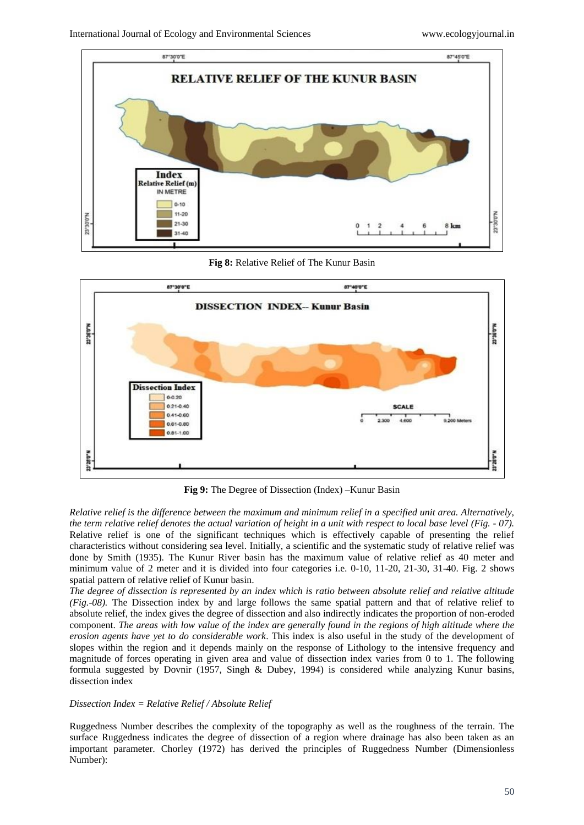

**Fig 8:** Relative Relief of The Kunur Basin



**Fig 9:** The Degree of Dissection (Index) –Kunur Basin

*Relative relief is the difference between the maximum and minimum relief in a specified unit area. Alternatively, the term relative relief denotes the actual variation of height in a unit with respect to local base level (Fig. - 07).* Relative relief is one of the significant techniques which is effectively capable of presenting the relief characteristics without considering sea level. Initially, a scientific and the systematic study of relative relief was done by Smith (1935). The Kunur River basin has the maximum value of relative relief as 40 meter and minimum value of 2 meter and it is divided into four categories i.e. 0-10, 11-20, 21-30, 31-40. Fig. 2 shows spatial pattern of relative relief of Kunur basin.

*The degree of dissection is represented by an index which is ratio between absolute relief and relative altitude (Fig.-08).* The Dissection index by and large follows the same spatial pattern and that of relative relief to absolute relief, the index gives the degree of dissection and also indirectly indicates the proportion of non-eroded component. *The areas with low value of the index are generally found in the regions of high altitude where the erosion agents have yet to do considerable work*. This index is also useful in the study of the development of slopes within the region and it depends mainly on the response of Lithology to the intensive frequency and magnitude of forces operating in given area and value of dissection index varies from 0 to 1. The following formula suggested by Dovnir (1957, Singh & Dubey, 1994) is considered while analyzing Kunur basins, dissection index

#### *Dissection Index = Relative Relief / Absolute Relief*

Ruggedness Number describes the complexity of the topography as well as the roughness of the terrain. The surface Ruggedness indicates the degree of dissection of a region where drainage has also been taken as an important parameter. Chorley (1972) has derived the principles of Ruggedness Number (Dimensionless Number):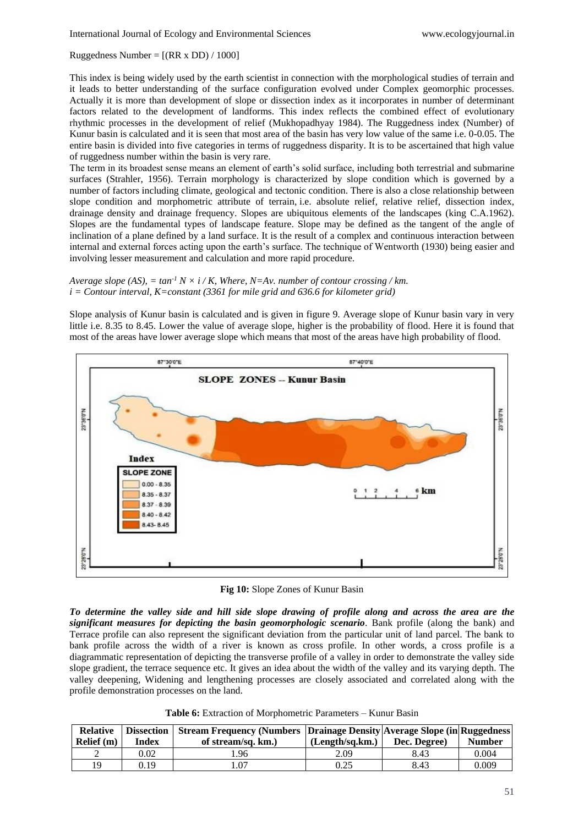Ruggedness Number =  $[(RR \times DD) / 1000]$ 

This index is being widely used by the earth scientist in connection with the morphological studies of terrain and it leads to better understanding of the surface configuration evolved under Complex geomorphic processes. Actually it is more than development of slope or dissection index as it incorporates in number of determinant factors related to the development of landforms. This index reflects the combined effect of evolutionary rhythmic processes in the development of relief (Mukhopadhyay 1984). The Ruggedness index (Number) of Kunur basin is calculated and it is seen that most area of the basin has very low value of the same i.e. 0-0.05. The entire basin is divided into five categories in terms of ruggedness disparity. It is to be ascertained that high value of ruggedness number within the basin is very rare.

The term in its broadest sense means an element of earth's solid surface, including both terrestrial and submarine surfaces (Strahler, 1956). Terrain morphology is characterized by slope condition which is governed by a number of factors including climate, geological and tectonic condition. There is also a close relationship between slope condition and morphometric attribute of terrain, i.e. absolute relief, relative relief, dissection index, drainage density and drainage frequency. Slopes are ubiquitous elements of the landscapes (king C.A.1962). Slopes are the fundamental types of landscape feature. Slope may be defined as the tangent of the angle of inclination of a plane defined by a land surface. It is the result of a complex and continuous interaction between internal and external forces acting upon the earth's surface. The technique of Wentworth (1930) being easier and involving lesser measurement and calculation and more rapid procedure.

*Average slope (AS),*  $= \tan^{-1} N \times i / K$ *. Where, N=Av, number of contour crossing / km. i = Contour interval, K=constant (3361 for mile grid and 636.6 for kilometer grid)*

Slope analysis of Kunur basin is calculated and is given in figure 9. Average slope of Kunur basin vary in very little i.e. 8.35 to 8.45. Lower the value of average slope, higher is the probability of flood. Here it is found that most of the areas have lower average slope which means that most of the areas have high probability of flood.



**Fig 10:** Slope Zones of Kunur Basin

*To determine the valley side and hill side slope drawing of profile along and across the area are the significant measures for depicting the basin geomorphologic scenario*. Bank profile (along the bank) and Terrace profile can also represent the significant deviation from the particular unit of land parcel. The bank to bank profile across the width of a river is known as cross profile. In other words, a cross profile is a diagrammatic representation of depicting the transverse profile of a valley in order to demonstrate the valley side slope gradient, the terrace sequence etc. It gives an idea about the width of the valley and its varying depth. The valley deepening, Widening and lengthening processes are closely associated and correlated along with the profile demonstration processes on the land.

**Table 6:** Extraction of Morphometric Parameters – Kunur Basin

| <b>Relative</b><br>Relief (m) | Index | <b>Dissection   Stream Frequency (Numbers   Drainage Density Average Slope (in Ruggedness)</b><br>of stream/sq. km.) | (Length/sq.km.) | Dec. Degree) | <b>Number</b> |
|-------------------------------|-------|----------------------------------------------------------------------------------------------------------------------|-----------------|--------------|---------------|
|                               | 0.02  | .96                                                                                                                  | 2.09            | 8.43         | 0.004         |
| 19                            | 0.19  | .07                                                                                                                  | 0.25            | 8.43         | 0.009         |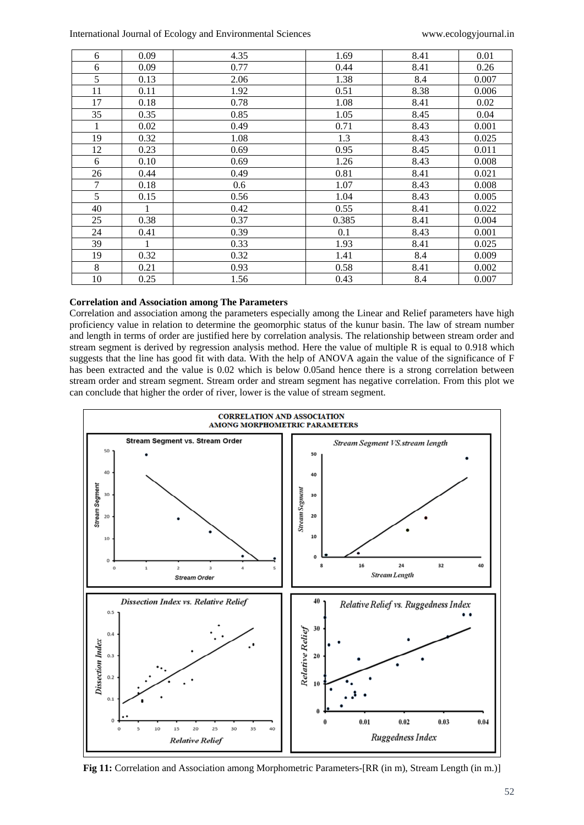| 6              | 0.09 | 4.35 | 1.69  | 8.41 | 0.01  |
|----------------|------|------|-------|------|-------|
| 6              | 0.09 | 0.77 | 0.44  | 8.41 | 0.26  |
| 5              | 0.13 | 2.06 | 1.38  | 8.4  | 0.007 |
| 11             | 0.11 | 1.92 | 0.51  | 8.38 | 0.006 |
| 17             | 0.18 | 0.78 | 1.08  | 8.41 | 0.02  |
| 35             | 0.35 | 0.85 | 1.05  | 8.45 | 0.04  |
| 1              | 0.02 | 0.49 | 0.71  | 8.43 | 0.001 |
| 19             | 0.32 | 1.08 | 1.3   | 8.43 | 0.025 |
| 12             | 0.23 | 0.69 | 0.95  | 8.45 | 0.011 |
| 6              | 0.10 | 0.69 | 1.26  | 8.43 | 0.008 |
| 26             | 0.44 | 0.49 | 0.81  | 8.41 | 0.021 |
| $\overline{7}$ | 0.18 | 0.6  | 1.07  | 8.43 | 0.008 |
| 5              | 0.15 | 0.56 | 1.04  | 8.43 | 0.005 |
| 40             |      | 0.42 | 0.55  | 8.41 | 0.022 |
| 25             | 0.38 | 0.37 | 0.385 | 8.41 | 0.004 |
| 24             | 0.41 | 0.39 | 0.1   | 8.43 | 0.001 |
| 39             | 1    | 0.33 | 1.93  | 8.41 | 0.025 |
| 19             | 0.32 | 0.32 | 1.41  | 8.4  | 0.009 |
| $\,8\,$        | 0.21 | 0.93 | 0.58  | 8.41 | 0.002 |
| $10\,$         | 0.25 | 1.56 | 0.43  | 8.4  | 0.007 |

#### **Correlation and Association among The Parameters**

Correlation and association among the parameters especially among the Linear and Relief parameters have high proficiency value in relation to determine the geomorphic status of the kunur basin. The law of stream number and length in terms of order are justified here by correlation analysis. The relationship between stream order and stream segment is derived by regression analysis method. Here the value of multiple R is equal to 0.918 which suggests that the line has good fit with data. With the help of ANOVA again the value of the significance of F has been extracted and the value is 0.02 which is below 0.05and hence there is a strong correlation between stream order and stream segment. Stream order and stream segment has negative correlation. From this plot we can conclude that higher the order of river, lower is the value of stream segment.



**Fig 11:** Correlation and Association among Morphometric Parameters-[RR (in m), Stream Length (in m.)]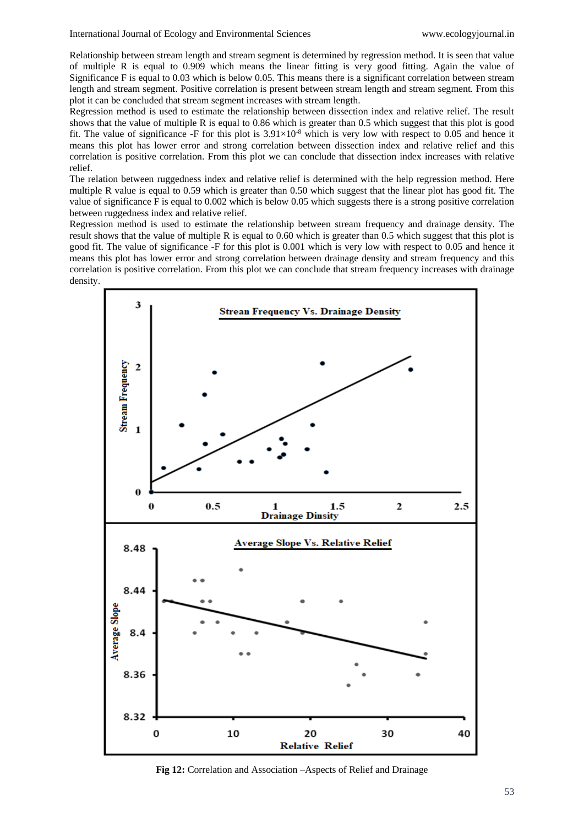Relationship between stream length and stream segment is determined by regression method. It is seen that value of multiple R is equal to 0.909 which means the linear fitting is very good fitting. Again the value of Significance F is equal to 0.03 which is below 0.05. This means there is a significant correlation between stream length and stream segment. Positive correlation is present between stream length and stream segment. From this plot it can be concluded that stream segment increases with stream length.

Regression method is used to estimate the relationship between dissection index and relative relief. The result shows that the value of multiple R is equal to 0.86 which is greater than 0.5 which suggest that this plot is good fit. The value of significance -F for this plot is  $3.91 \times 10^{-8}$  which is very low with respect to 0.05 and hence it means this plot has lower error and strong correlation between dissection index and relative relief and this correlation is positive correlation. From this plot we can conclude that dissection index increases with relative relief.

The relation between ruggedness index and relative relief is determined with the help regression method. Here multiple R value is equal to 0.59 which is greater than 0.50 which suggest that the linear plot has good fit. The value of significance F is equal to 0.002 which is below 0.05 which suggests there is a strong positive correlation between ruggedness index and relative relief.

Regression method is used to estimate the relationship between stream frequency and drainage density. The result shows that the value of multiple R is equal to 0.60 which is greater than 0.5 which suggest that this plot is good fit. The value of significance -F for this plot is 0.001 which is very low with respect to 0.05 and hence it means this plot has lower error and strong correlation between drainage density and stream frequency and this correlation is positive correlation. From this plot we can conclude that stream frequency increases with drainage density.



**Fig 12:** Correlation and Association –Aspects of Relief and Drainage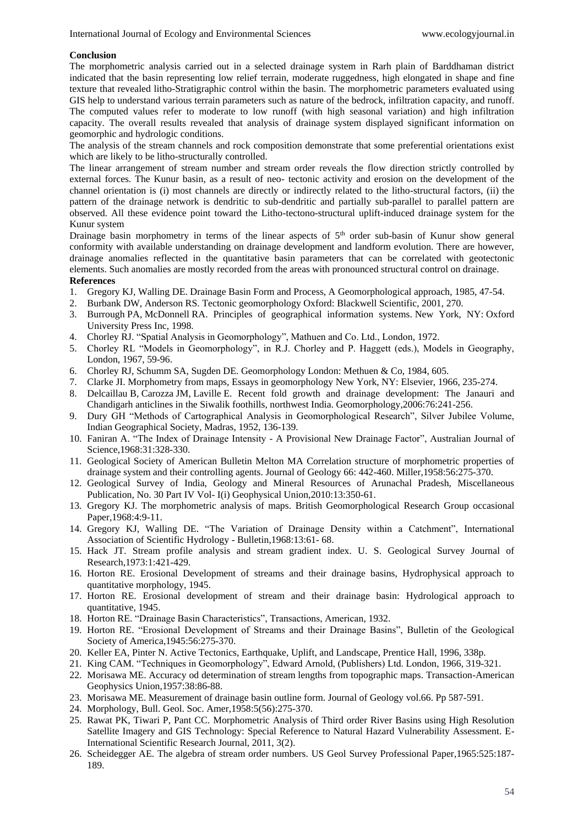### **Conclusion**

The morphometric analysis carried out in a selected drainage system in Rarh plain of Barddhaman district indicated that the basin representing low relief terrain, moderate ruggedness, high elongated in shape and fine texture that revealed litho-Stratigraphic control within the basin. The morphometric parameters evaluated using GIS help to understand various terrain parameters such as nature of the bedrock, infiltration capacity, and runoff. The computed values refer to moderate to low runoff (with high seasonal variation) and high infiltration capacity. The overall results revealed that analysis of drainage system displayed significant information on geomorphic and hydrologic conditions.

The analysis of the stream channels and rock composition demonstrate that some preferential orientations exist which are likely to be litho-structurally controlled.

The linear arrangement of stream number and stream order reveals the flow direction strictly controlled by external forces. The Kunur basin, as a result of neo- tectonic activity and erosion on the development of the channel orientation is (i) most channels are directly or indirectly related to the litho-structural factors, (ii) the pattern of the drainage network is dendritic to sub-dendritic and partially sub-parallel to parallel pattern are observed. All these evidence point toward the Litho-tectono-structural uplift-induced drainage system for the Kunur system

Drainage basin morphometry in terms of the linear aspects of  $5<sup>th</sup>$  order sub-basin of Kunur show general conformity with available understanding on drainage development and landform evolution. There are however, drainage anomalies reflected in the quantitative basin parameters that can be correlated with geotectonic elements. Such anomalies are mostly recorded from the areas with pronounced structural control on drainage.

# **References**

- 1. Gregory KJ, Walling DE. Drainage Basin Form and Process, A Geomorphological approach, 1985, 47-54.
- 2. Burbank DW, Anderson RS. Tectonic geomorphology Oxford: Blackwell Scientific, 2001, 270.
- 3. Burrough PA, McDonnell RA. Principles of geographical information systems. New York, NY: Oxford University Press Inc, 1998.
- 4. Chorley RJ. "Spatial Analysis in Geomorphology", Mathuen and Co. Ltd., London, 1972.
- 5. Chorley RL "Models in Geomorphology", in R.J. Chorley and P. Haggett (eds.), Models in Geography, London, 1967, 59-96.
- 6. Chorley RJ, Schumm SA, Sugden DE. Geomorphology London: Methuen & Co, 1984, 605.
- 7. Clarke JI. Morphometry from maps, Essays in geomorphology New York, NY: Elsevier, 1966, 235-274.
- 8. Delcaillau B, Carozza JM, Laville E. Recent fold growth and drainage development: The Janauri and Chandigarh anticlines in the Siwalik foothills, northwest India. Geomorphology,2006:76:241-256.
- 9. Dury GH "Methods of Cartographical Analysis in Geomorphological Research", Silver Jubilee Volume, Indian Geographical Society, Madras, 1952, 136-139.
- 10. Faniran A. "The Index of Drainage Intensity A Provisional New Drainage Factor", Australian Journal of Science,1968:31:328-330.
- 11. Geological Society of American Bulletin Melton MA Correlation structure of morphometric properties of drainage system and their controlling agents. Journal of Geology 66: 442-460. Miller,1958:56:275-370.
- 12. Geological Survey of India, Geology and Mineral Resources of Arunachal Pradesh, Miscellaneous Publication, No. 30 Part IV Vol- I(i) Geophysical Union,2010:13:350-61.
- 13. Gregory KJ. The morphometric analysis of maps. British Geomorphological Research Group occasional Paper,1968:4:9-11.
- 14. Gregory KJ, Walling DE. "The Variation of Drainage Density within a Catchment", International Association of Scientific Hydrology - Bulletin,1968:13:61- 68.
- 15. Hack JT. Stream profile analysis and stream gradient index. U. S. Geological Survey Journal of Research,1973:1:421-429.
- 16. Horton RE. Erosional Development of streams and their drainage basins, Hydrophysical approach to quantitative morphology, 1945.
- 17. Horton RE. Erosional development of stream and their drainage basin: Hydrological approach to quantitative, 1945.
- 18. Horton RE. "Drainage Basin Characteristics", Transactions, American, 1932.
- 19. Horton RE. "Erosional Development of Streams and their Drainage Basins", Bulletin of the Geological Society of America,1945:56:275-370.
- 20. Keller EA, Pinter N. Active Tectonics, Earthquake, Uplift, and Landscape, Prentice Hall, 1996, 338p.
- 21. King CAM. "Techniques in Geomorphology", Edward Arnold, (Publishers) Ltd. London, 1966, 319-321.
- 22. Morisawa ME. Accuracy od determination of stream lengths from topographic maps. Transaction-American Geophysics Union,1957:38:86-88.
- 23. Morisawa ME. Measurement of drainage basin outline form. Journal of Geology vol.66. Pp 587-591.
- 24. Morphology, Bull. Geol. Soc. Amer,1958:5(56):275-370.
- 25. Rawat PK, Tiwari P, Pant CC. Morphometric Analysis of Third order River Basins using High Resolution Satellite Imagery and GIS Technology: Special Reference to Natural Hazard Vulnerability Assessment. E-International Scientific Research Journal, 2011, 3(2).
- 26. Scheidegger AE. The algebra of stream order numbers. US Geol Survey Professional Paper,1965:525:187- 189.